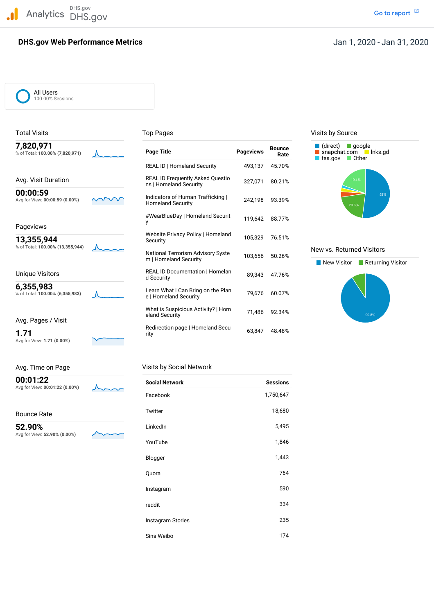DHS.gov Analytics DHS.gov and the contract of the contract of the contract of the contract of the contract of the contract of  $\mathbb Z$ 

## **DHS.gov Web Performance Metrics**

All Users 100.00% Sessions

| 7,820,971<br>% of Total: 100.00% (7,820,971) |  |
|----------------------------------------------|--|
| Avg. Visit Duration                          |  |
| 00:00:59<br>Avg for View: 00:00:59 (0.00%)   |  |
|                                              |  |

Avg for View: **1.71 (0.00%)**

| Avg. Time on Page                          |     | Visits by Social Network |
|--------------------------------------------|-----|--------------------------|
| 00:01:22<br>Avg for View: 00:01:22 (0.00%) | Ann | <b>Social Network</b>    |

Bounce Rate

 Avg for View: **52.90% (0.00%) 52.90%**



| 7,820,971<br>% of Total: 100.00% (7,820,971) | <b>Page Title</b>                                                 | <b>Pageviews</b> | <b>Bounce</b><br>Rate | (direct)<br>$\Box$ google<br>snapchat.com Inks.gd<br>$\blacksquare$ Other<br>tsa.gov |
|----------------------------------------------|-------------------------------------------------------------------|------------------|-----------------------|--------------------------------------------------------------------------------------|
|                                              | <b>REAL ID   Homeland Security</b>                                | 493,137          | 45.70%                |                                                                                      |
| Avg. Visit Duration                          | <b>REAL ID Frequently Asked Questio</b><br>ns   Homeland Security | 327,071          | 80.21%                | 19.4%                                                                                |
| 00:00:59<br>Avg for View: 00:00:59 (0.00%)   | Indicators of Human Trafficking  <br><b>Homeland Security</b>     | 242,198          | 93.39%                | 52%<br>20.6%                                                                         |
| Pageviews                                    | #WearBlueDay   Homeland Securit                                   | 119.642          | 88.77%                |                                                                                      |
| 13,355,944                                   | Website Privacy Policy   Homeland<br>Security                     | 105,329          | 76.51%                |                                                                                      |
| % of Total: 100.00% (13,355,944)             | National Terrorism Advisory Syste<br>m   Homeland Security        | 103,656          | 50.26%                | New vs. Returned Visitors<br>New Visitor<br>Returning Visitor                        |
| Unique Visitors                              | <b>REAL ID Documentation   Homelan</b><br>d Security              | 89.343           | 47.76%                |                                                                                      |
| 6,355,983<br>% of Total: 100.00% (6,355,983) | Learn What I Can Bring on the Plan<br>e   Homeland Security       | 79,676           | 60.07%                |                                                                                      |
| Avg. Pages / Visit                           | What is Suspicious Activity?   Hom<br>eland Security              | 71,486           | 92.34%                | 90.8%                                                                                |
| 1.71                                         | Redirection page   Homeland Secu<br>rity                          | 63,847           | 48.48%                |                                                                                      |

| <b>Social Network</b> | <b>Sessions</b> |
|-----------------------|-----------------|
| Facebook              | 1,750,647       |
| Twitter               | 18,680          |
| LinkedIn              | 5,495           |
| YouTube               | 1,846           |
| Blogger               | 1,443           |
| Quora                 | 764             |
| Instagram             | 590             |
| reddit                | 334             |
| Instagram Stories     | 235             |
| Sina Weibo            | 174             |

### Total Visits **Top Pages** Top Pages Top Pages Visits by Source



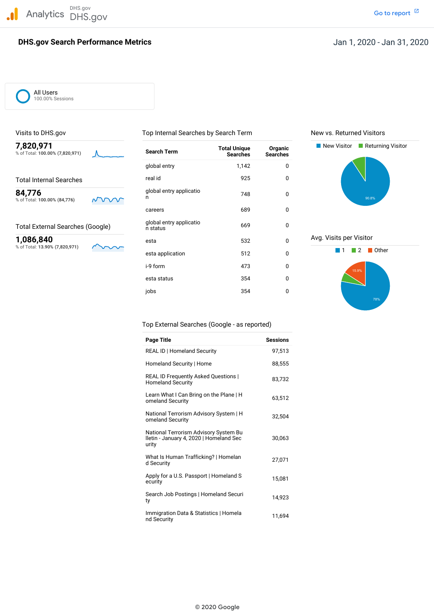

## **DHS.gov Search Performance Metrics**

All Users 100.00% Sessions



| 7,820,971<br>% of Total: 100.00% (7,820,971) |     | <b>Search Term</b>                  | <b>Total Unique</b><br><b>Searches</b> | Organic<br><b>Searches</b> | New Visitor<br>Returning Visitor |
|----------------------------------------------|-----|-------------------------------------|----------------------------------------|----------------------------|----------------------------------|
|                                              |     | global entry                        | 1,142                                  | 0                          |                                  |
| <b>Total Internal Searches</b>               |     | real id                             | 925                                    | 0                          |                                  |
| 84,776<br>% of Total: 100.00% (84,776)       | NVV | global entry applicatio             | 748                                    | 0                          | 90.8%                            |
|                                              |     | careers                             | 689                                    | 0                          |                                  |
| <b>Total External Searches (Google)</b>      |     | global entry applicatio<br>n status | 669                                    | 0                          |                                  |
| 1,086,840                                    |     | esta                                | 532                                    | $\mathbf 0$                | Avg. Visits per Visitor          |
| % of Total: 13.90% (7,820,971)               |     | esta application                    | 512                                    | 0                          | Other                            |
|                                              |     | i-9 form                            | 473                                    | 0                          | 15.9%                            |
|                                              |     | esta status                         | 354                                    | 0                          |                                  |
|                                              |     | jobs                                | 354                                    | 0                          |                                  |

Visits to DHS.gov Top Internal Searches by Search Term New vs. Returned Visitors





### Top External Searches (Google - as reported)

| Page Title                                                                                | <b>Sessions</b> |
|-------------------------------------------------------------------------------------------|-----------------|
| <b>REAL ID   Homeland Security</b>                                                        | 97.513          |
| Homeland Security   Home                                                                  | 88,555          |
| <b>REAL ID Frequently Asked Questions  </b><br><b>Homeland Security</b>                   | 83,732          |
| Learn What I Can Bring on the Plane   H<br>omeland Security                               | 63,512          |
| National Terrorism Advisory System   H<br>omeland Security                                | 32,504          |
| National Terrorism Advisory System Bu<br>Iletin - January 4, 2020   Homeland Sec<br>urity | 30,063          |
| What Is Human Trafficking?   Homelan<br>d Security                                        | 27,071          |
| Apply for a U.S. Passport   Homeland S<br>ecurity                                         | 15,081          |
| Search Job Postings   Homeland Securi<br>ty                                               | 14.923          |
| Immigration Data & Statistics   Homela<br>nd Security                                     | 11,694          |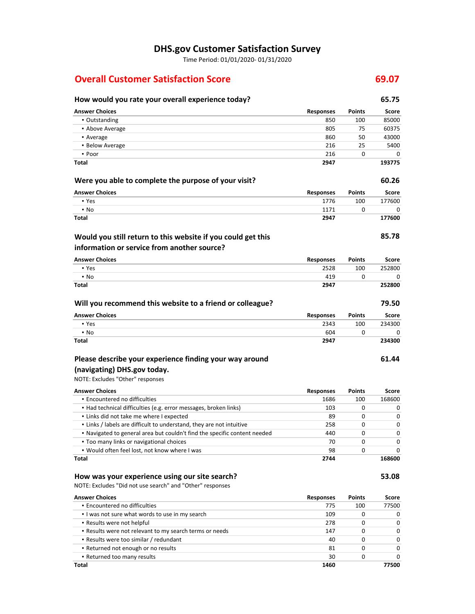# **DHS.gov Customer Satisfaction Survey**

Time Period: 01/01/2020‐ 01/31/2020

# **Overall Customer Satisfaction Score 69.07**

# **How would you rate your overall experience today? 65.75**

| a you rate your overall experience today.                                 |                  |               |        |
|---------------------------------------------------------------------------|------------------|---------------|--------|
| <b>Answer Choices</b>                                                     | <b>Responses</b> | <b>Points</b> | Score  |
| • Outstanding                                                             | 850              | 100           | 85000  |
| • Above Average                                                           | 805              | 75            | 60375  |
| • Average                                                                 | 860              | 50            | 43000  |
| • Below Average                                                           | 216              | 25            | 5400   |
| • Poor                                                                    | 216              | 0             | 0      |
| Total                                                                     | 2947             |               | 193775 |
| Were you able to complete the purpose of your visit?                      |                  |               | 60.26  |
| <b>Answer Choices</b>                                                     | <b>Responses</b> | <b>Points</b> | Score  |
| • Yes                                                                     | 1776             | 100           | 177600 |
| $\cdot$ No                                                                | 1171             | 0             | 0      |
| Total                                                                     | 2947             |               | 177600 |
| Would you still return to this website if you could get this              |                  |               | 85.78  |
| information or service from another source?                               |                  |               |        |
| <b>Answer Choices</b>                                                     | <b>Responses</b> | <b>Points</b> | Score  |
| • Yes                                                                     | 2528             | 100           | 252800 |
| • No                                                                      | 419              | 0             | 0      |
| <b>Total</b>                                                              | 2947             |               | 252800 |
| Will you recommend this website to a friend or colleague?                 |                  |               | 79.50  |
| <b>Answer Choices</b>                                                     | <b>Responses</b> | Points        | Score  |
| • Yes                                                                     | 2343             | 100           | 234300 |
| • No                                                                      | 604              | 0             | 0      |
| Total                                                                     | 2947             |               | 234300 |
| Please describe your experience finding your way around                   |                  |               | 61.44  |
| (navigating) DHS.gov today.                                               |                  |               |        |
| NOTE: Excludes "Other" responses                                          |                  |               |        |
| <b>Answer Choices</b>                                                     | <b>Responses</b> | <b>Points</b> | Score  |
| • Encountered no difficulties                                             | 1686             | 100           | 168600 |
| • Had technical difficulties (e.g. error messages, broken links)          | 103              | 0             | 0      |
| . Links did not take me where I expected                                  | 89               | 0             | 0      |
| . Links / labels are difficult to understand, they are not intuitive      | 258              | 0             | 0      |
| . Navigated to general area but couldn't find the specific content needed | 440              | 0             | 0      |
| • Too many links or navigational choices                                  | 70               | 0             | 0      |
| . Would often feel lost, not know where I was                             | 98               | U             | 0      |
| Total                                                                     | 2744             |               | 168600 |
| How was your experience using our site search?                            |                  |               | 53.08  |
| NOTE: Excludes "Did not use search" and "Other" responses                 |                  |               |        |
| <b>Answer Choices</b>                                                     | <b>Responses</b> | <b>Points</b> | Score  |
| · Encountered no difficulties                                             | 775              | 100           | 77500  |
| . I was not sure what words to use in my search                           | 109              | 0             | 0      |
| - Results were not helpful                                                | 278              | 0             | 0      |
| . Results were not relevant to my search terms or needs                   | 147              | 0             | 0      |

▪ Results were too similar / redundant 40 0 0 ▪ Returned not enough or no results 81 0 0 ▪ Returned too many results 30 0 0